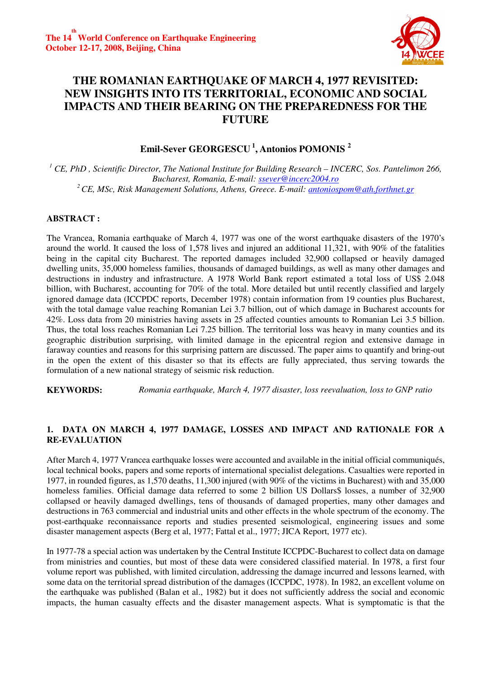

# **THE ROMANIAN EARTHQUAKE OF MARCH 4, 1977 REVISITED: NEW INSIGHTS INTO ITS TERRITORIAL, ECONOMIC AND SOCIAL IMPACTS AND THEIR BEARING ON THE PREPAREDNESS FOR THE FUTURE**

# **Emil-Sever GEORGESCU<sup>1</sup>, Antonios POMONIS <sup>2</sup>**

<sup>1</sup> CE, PhD , Scientific Director, The National Institute for Building Research – INCERC, Sos. Pantelimon 266, *Bucharest, Romania, E-mail: ssever@incerc2004.ro <sup>2</sup>CE, MSc, Risk Management Solutions, Athens, Greece. E-mail: antoniospom@ath.forthnet.gr*

### **ABSTRACT :**

The Vrancea, Romania earthquake of March 4, 1977 was one of the worst earthquake disasters of the 1970's around the world. It caused the loss of 1,578 lives and injured an additional 11,321, with 90% of the fatalities being in the capital city Bucharest. The reported damages included 32,900 collapsed or heavily damaged dwelling units, 35,000 homeless families, thousands of damaged buildings, as well as many other damages and destructions in industry and infrastructure. A 1978 World Bank report estimated a total loss of US\$ 2.048 billion, with Bucharest, accounting for 70% of the total. More detailed but until recently classified and largely ignored damage data (ICCPDC reports, December 1978) contain information from 19 counties plus Bucharest, with the total damage value reaching Romanian Lei 3.7 billion, out of which damage in Bucharest accounts for 42%. Loss data from 20 ministries having assets in 25 affected counties amounts to Romanian Lei 3.5 billion. Thus, the total loss reaches Romanian Lei 7.25 billion. The territorial loss was heavy in many counties and its geographic distribution surprising, with limited damage in the epicentral region and extensive damage in faraway counties and reasons for this surprising pattern are discussed. The paper aims to quantify and bring-out in the open the extent of this disaster so that its effects are fully appreciated, thus serving towards the formulation of a new national strategy of seismic risk reduction.

**KEYWORDS:** *Romania earthquake, March 4, 1977 disaster, loss reevaluation, loss to GNP ratio*

### **1. DATA ON MARCH 4, 1977 DAMAGE, LOSSES AND IMPACT AND RATIONALE FOR A RE-EVALUATION**

After March 4, 1977 Vrancea earthquake losses were accounted and available in the initial official communiqués, local technical books, papers and some reports of international specialist delegations. Casualties were reported in 1977, in rounded figures, as 1,570 deaths, 11,300 injured (with 90% of the victims in Bucharest) with and 35,000 homeless families. Official damage data referred to some 2 billion US Dollars\$ losses, a number of 32,900 collapsed or heavily damaged dwellings, tens of thousands of damaged properties, many other damages and destructions in 763 commercial and industrial units and other effects in the whole spectrum of the economy. The post-earthquake reconnaissance reports and studies presented seismological, engineering issues and some disaster management aspects (Berg et al, 1977; Fattal et al., 1977; JICA Report, 1977 etc).

In 1977-78 a special action was undertaken by the Central Institute ICCPDC-Bucharest to collect data on damage from ministries and counties, but most of these data were considered classified material. In 1978, a first four volume report was published, with limited circulation, addressing the damage incurred and lessons learned, with some data on the territorial spread distribution of the damages (ICCPDC, 1978). In 1982, an excellent volume on the earthquake was published (Balan et al., 1982) but it does not sufficiently address the social and economic impacts, the human casualty effects and the disaster management aspects. What is symptomatic is that the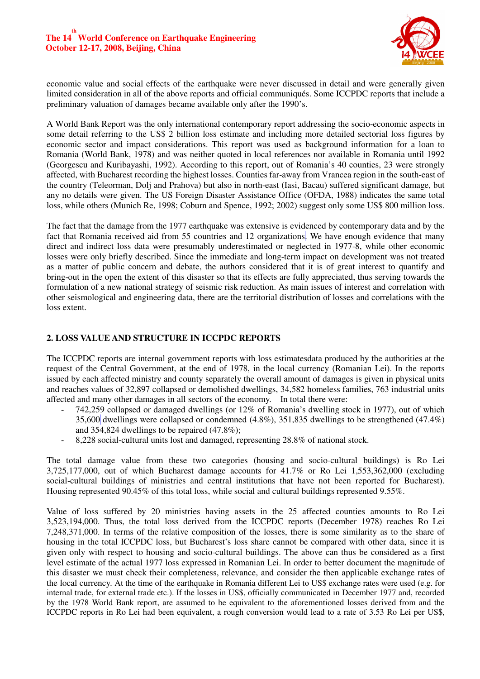

economic value and social effects of the earthquake were never discussed in detail and were generally given limited consideration in all of the above reports and official communiqués. Some ICCPDC reports that include a preliminary valuation of damages became available only after the 1990's.

A World Bank Report was the only international contemporary report addressing the socio-economic aspects in some detail referring to the US\$ 2 billion loss estimate and including more detailed sectorial loss figures by economic sector and impact considerations. This report was used as background information for a loan to Romania (World Bank, 1978) and was neither quoted in local references nor available in Romania until 1992 (Georgescu and Kuribayashi, 1992). According to this report, out of Romania's 40 counties, 23 were strongly affected, with Bucharest recording the highest losses. Counties far-away from Vrancea region in the south-east of the country (Teleorman, Dolj and Prahova) but also in north-east (Iasi, Bacau) suffered significant damage, but any no details were given. The US Foreign Disaster Assistance Office (OFDA, 1988) indicates the same total loss, while others (Munich Re, 1998; Coburn and Spence, 1992; 2002) suggest only some US\$ 800 million loss.

The fact that the damage from the 1977 earthquake was extensive is evidenced by contemporary data and by the fact that Romania received aid from 55 countries and 12 organizations. We have enough evidence that many direct and indirect loss data were presumably underestimated or neglected in 1977-8, while other economic losses were only briefly described. Since the immediate and long-term impact on development was not treated as a matter of public concern and debate, the authors considered that it is of great interest to quantify and bring-out in the open the extent of this disaster so that its effects are fully appreciated, thus serving towards the formulation of a new national strategy of seismic risk reduction. As main issues of interest and correlation with other seismological and engineering data, there are the territorial distribution of losses and correlations with the loss extent.

### **2. LOSS VALUE AND STRUCTURE IN ICCPDC REPORTS**

The ICCPDC reports are internal government reports with loss estimatesdata produced by the authorities at the request of the Central Government, at the end of 1978, in the local currency (Romanian Lei). In the reports issued by each affected ministry and county separately the overall amount of damages is given in physical units and reaches values of 32,897 collapsed or demolished dwellings, 34,582 homeless families, 763 industrial units affected and many other damages in all sectors of the economy. In total there were:

- 742,259 collapsed or damaged dwellings (or 12% of Romania's dwelling stock in 1977), out of which 35,600 dwellings were collapsed or condemned (4.8%), 351,835 dwellings to be strengthened (47.4%) and 354,824 dwellings to be repaired (47.8%);
- 8,228 social-cultural units lost and damaged, representing 28.8% of national stock.

The total damage value from these two categories (housing and socio-cultural buildings) is Ro Lei 3,725,177,000, out of which Bucharest damage accounts for 41.7% or Ro Lei 1,553,362,000 (excluding social-cultural buildings of ministries and central institutions that have not been reported for Bucharest). Housing represented 90.45% of this total loss, while social and cultural buildings represented 9.55%.

Value of loss suffered by 20 ministries having assets in the 25 affected counties amounts to Ro Lei 3,523,194,000. Thus, the total loss derived from the ICCPDC reports (December 1978) reaches Ro Lei 7,248,371,000. In terms of the relative composition of the losses, there is some similarity as to the share of housing in the total ICCPDC loss, but Bucharest's loss share cannot be compared with other data, since it is given only with respect to housing and socio-cultural buildings. The above can thus be considered as a first level estimate of the actual 1977 loss expressed in Romanian Lei. In order to better document the magnitude of this disaster we must check their completeness, relevance, and consider the then applicable exchange rates of the local currency. At the time of the earthquake in Romania different Lei to US\$ exchange rates were used (e.g. for internal trade, for external trade etc.). If the losses in US\$, officially communicated in December 1977 and, recorded by the 1978 World Bank report, are assumed to be equivalent to the aforementioned losses derived from and the ICCPDC reports in Ro Lei had been equivalent, a rough conversion would lead to a rate of 3.53 Ro Lei per US\$,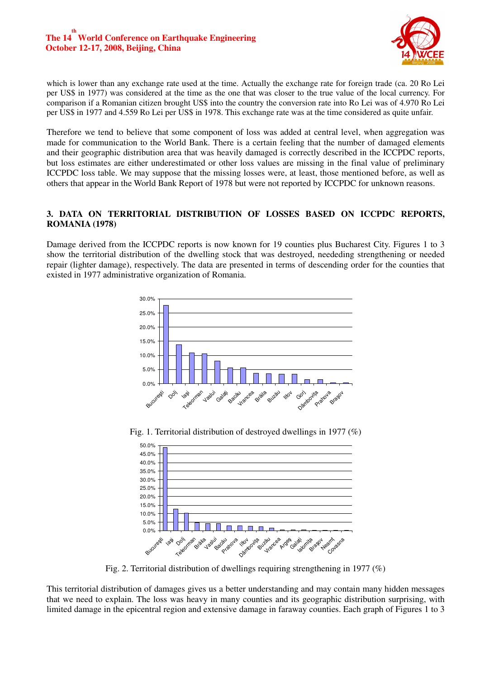

which is lower than any exchange rate used at the time. Actually the exchange rate for foreign trade (ca. 20 Ro Lei per US\$ in 1977) was considered at the time as the one that was closer to the true value of the local currency. For comparison if a Romanian citizen brought US\$ into the country the conversion rate into Ro Lei was of 4.970 Ro Lei per US\$ in 1977 and 4.559 Ro Lei per US\$ in 1978. This exchange rate was at the time considered as quite unfair.

Therefore we tend to believe that some component of loss was added at central level, when aggregation was made for communication to the World Bank. There is a certain feeling that the number of damaged elements and their geographic distribution area that was heavily damaged is correctly described in the ICCPDC reports, but loss estimates are either underestimated or other loss values are missing in the final value of preliminary ICCPDC loss table. We may suppose that the missing losses were, at least, those mentioned before, as well as others that appear in the World Bank Report of 1978 but were not reported by ICCPDC for unknown reasons.

### **3. DATA ON TERRITORIAL DISTRIBUTION OF LOSSES BASED ON ICCPDC REPORTS, ROMANIA (1978)**

Damage derived from the ICCPDC reports is now known for 19 counties plus Bucharest City. Figures 1 to 3 show the territorial distribution of the dwelling stock that was destroyed, neededing strengthening or needed repair (lighter damage), respectively. The data are presented in terms of descending order for the counties that existed in 1977 administrative organization of Romania.



Fig. 1. Territorial distribution of destroyed dwellings in 1977 (%)



Fig. 2. Territorial distribution of dwellings requiring strengthening in 1977 (%)

This territorial distribution of damages gives us a better understanding and may contain many hidden messages that we need to explain. The loss was heavy in many counties and its geographic distribution surprising, with limited damage in the epicentral region and extensive damage in faraway counties. Each graph of Figures 1 to 3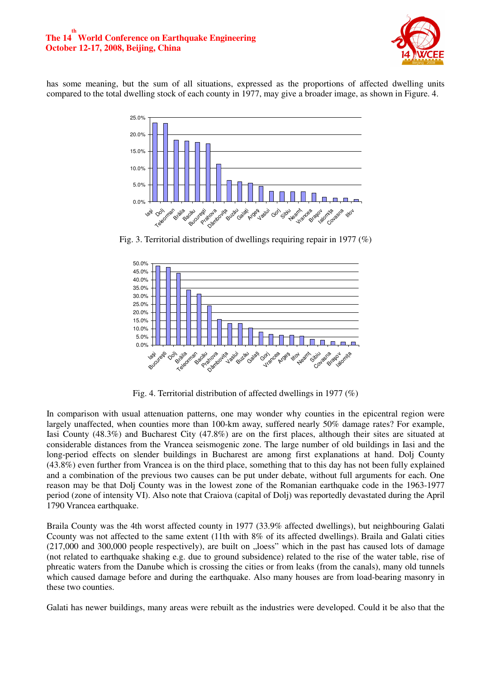#### **The 14 World Conference on Earthquake Engineering th October 12-17, 2008, Beijing, China**



has some meaning, but the sum of all situations, expressed as the proportions of affected dwelling units compared to the total dwelling stock of each county in 1977, may give a broader image, as shown in Figure. 4.



Fig. 3. Territorial distribution of dwellings requiring repair in 1977 (%)



Fig. 4. Territorial distribution of affected dwellings in 1977 (%)

In comparison with usual attenuation patterns, one may wonder why counties in the epicentral region were largely unaffected, when counties more than 100-km away, suffered nearly 50% damage rates? For example, Iasi County (48.3%) and Bucharest City (47.8%) are on the first places, although their sites are situated at considerable distances from the Vrancea seismogenic zone. The large number of old buildings in Iasi and the long-period effects on slender buildings in Bucharest are among first explanations at hand. Dolj County (43.8%) even further from Vrancea is on the third place, something that to this day has not been fully explained and a combination of the previous two causes can be put under debate, without full arguments for each. One reason may be that Dolj County was in the lowest zone of the Romanian earthquake code in the 1963-1977 period (zone of intensity VI). Also note that Craiova (capital of Dolj) was reportedly devastated during the April 1790 Vrancea earthquake.

Braila County was the 4th worst affected county in 1977 (33.9% affected dwellings), but neighbouring Galati Ccounty was not affected to the same extent (11th with 8% of its affected dwellings). Braila and Galati cities  $(217,000$  and  $300,000$  people respectively), are built on  $,$ loess" which in the past has caused lots of damage (not related to earthquake shaking e.g. due to ground subsidence) related to the rise of the water table, rise of phreatic waters from the Danube which is crossing the cities or from leaks (from the canals), many old tunnels which caused damage before and during the earthquake. Also many houses are from load-bearing masonry in these two counties.

Galati has newer buildings, many areas were rebuilt as the industries were developed. Could it be also that the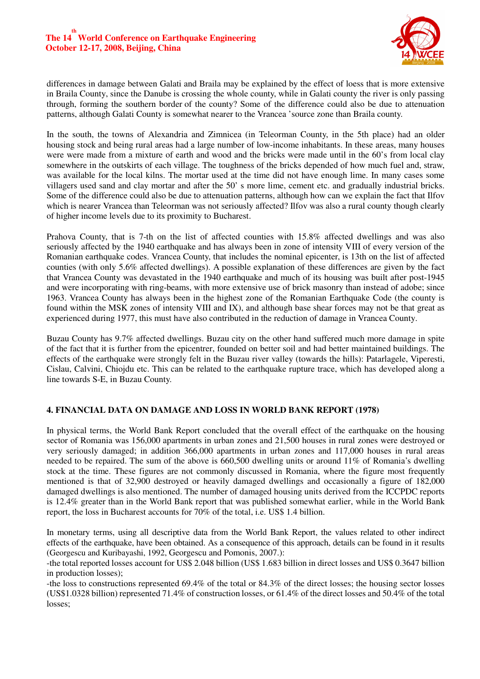

differences in damage between Galati and Braila may be explained by the effect of loess that is more extensive in Braila County, since the Danube is crossing the whole county, while in Galati county the river is only passing through, forming the southern border of the county? Some of the difference could also be due to attenuation patterns, although Galati County is somewhat nearer to the Vrancea 'source zone than Braila county.

In the south, the towns of Alexandria and Zimnicea (in Teleorman County, in the 5th place) had an older housing stock and being rural areas had a large number of low-income inhabitants. In these areas, many houses were were made from a mixture of earth and wood and the bricks were made until in the 60's from local clay somewhere in the outskirts of each village. The toughness of the bricks depended of how much fuel and, straw, was available for the local kilns. The mortar used at the time did not have enough lime. In many cases some villagers used sand and clay mortar and after the 50' s more lime, cement etc. and gradually industrial bricks. Some of the difference could also be due to attenuation patterns, although how can we explain the fact that Ilfov which is nearer Vrancea than Teleorman was not seriously affected? Ilfov was also a rural county though clearly of higher income levels due to its proximity to Bucharest.

Prahova County, that is 7-th on the list of affected counties with 15.8% affected dwellings and was also seriously affected by the 1940 earthquake and has always been in zone of intensity VIII of every version of the Romanian earthquake codes. Vrancea County, that includes the nominal epicenter, is 13th on the list of affected counties (with only 5.6% affected dwellings). A possible explanation of these differences are given by the fact that Vrancea County was devastated in the 1940 earthquake and much of its housing was built after post-1945 and were incorporating with ring-beams, with more extensive use of brick masonry than instead of adobe; since 1963. Vrancea County has always been in the highest zone of the Romanian Earthquake Code (the county is found within the MSK zones of intensity VIII and IX), and although base shear forces may not be that great as experienced during 1977, this must have also contributed in the reduction of damage in Vrancea County.

Buzau County has 9.7% affected dwellings. Buzau city on the other hand suffered much more damage in spite of the fact that it is further from the epicentrer, founded on better soil and had better maintained buildings. The effects of the earthquake were strongly felt in the Buzau river valley (towards the hills): Patarlagele, Viperesti, Cislau, Calvini, Chiojdu etc. This can be related to the earthquake rupture trace, which has developed along a line towards S-E, in Buzau County.

### **4. FINANCIAL DATA ON DAMAGE AND LOSS IN WORLD BANK REPORT (1978)**

In physical terms, the World Bank Report concluded that the overall effect of the earthquake on the housing sector of Romania was 156,000 apartments in urban zones and 21,500 houses in rural zones were destroyed or very seriously damaged; in addition 366,000 apartments in urban zones and 117,000 houses in rural areas needed to be repaired. The sum of the above is 660,500 dwelling units or around 11% of Romania's dwelling stock at the time. These figures are not commonly discussed in Romania, where the figure most frequently mentioned is that of 32,900 destroyed or heavily damaged dwellings and occasionally a figure of 182,000 damaged dwellings is also mentioned. The number of damaged housing units derived from the ICCPDC reports is 12.4% greater than in the World Bank report that was published somewhat earlier, while in the World Bank report, the loss in Bucharest accounts for 70% of the total, i.e. US\$ 1.4 billion.

In monetary terms, using all descriptive data from the World Bank Report, the values related to other indirect effects of the earthquake, have been obtained. As a consequence of this approach, details can be found in it results (Georgescu and Kuribayashi, 1992, Georgescu and Pomonis, 2007.):

-the total reported losses account for US\$ 2.048 billion (US\$ 1.683 billion in direct losses and US\$ 0.3647 billion in production losses);

-the loss to constructions represented 69.4% of the total or 84.3% of the direct losses; the housing sector losses (US\$1.0328 billion) represented 71.4% of construction losses, or 61.4% of the direct losses and 50.4% of the total losses;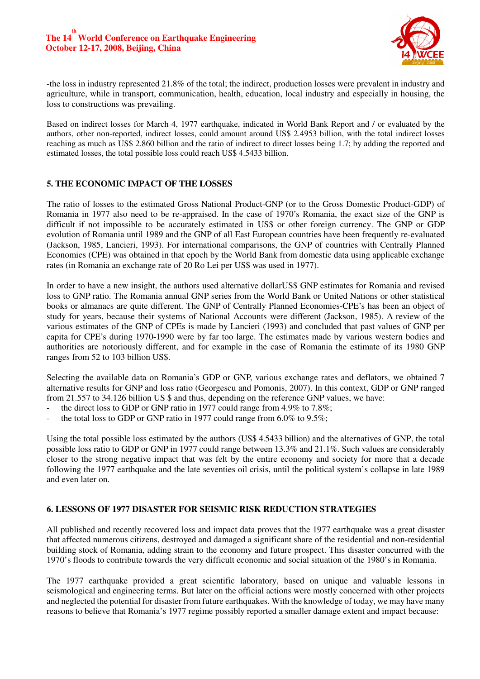

-the loss in industry represented 21.8% of the total; the indirect, production losses were prevalent in industry and agriculture, while in transport, communication, health, education, local industry and especially in housing, the loss to constructions was prevailing.

Based on indirect losses for March 4, 1977 earthquake, indicated in World Bank Report and / or evaluated by the authors, other non-reported, indirect losses, could amount around US\$ 2.4953 billion, with the total indirect losses reaching as much as US\$ 2.860 billion and the ratio of indirect to direct losses being 1.7; by adding the reported and estimated losses, the total possible loss could reach US\$ 4.5433 billion.

### **5. THE ECONOMIC IMPACT OF THE LOSSES**

The ratio of losses to the estimated Gross National Product-GNP (or to the Gross Domestic Product-GDP) of Romania in 1977 also need to be re-appraised. In the case of 1970's Romania, the exact size of the GNP is difficult if not impossible to be accurately estimated in US\$ or other foreign currency. The GNP or GDP evolution of Romania until 1989 and the GNP of all East European countries have been frequently re-evaluated (Jackson, 1985, Lancieri, 1993). For international comparisons, the GNP of countries with Centrally Planned Economies (CPE) was obtained in that epoch by the World Bank from domestic data using applicable exchange rates (in Romania an exchange rate of 20 Ro Lei per US\$ was used in 1977).

In order to have a new insight, the authors used alternative dollarUS\$ GNP estimates for Romania and revised loss to GNP ratio. The Romania annual GNP series from the World Bank or United Nations or other statistical books or almanacs are quite different. The GNP of Centrally Planned Economies-CPE's has been an object of study for years, because their systems of National Accounts were different (Jackson, 1985). A review of the various estimates of the GNP of CPEs is made by Lancieri (1993) and concluded that past values of GNP per capita for CPE's during 1970-1990 were by far too large. The estimates made by various western bodies and authorities are notoriously different, and for example in the case of Romania the estimate of its 1980 GNP ranges from 52 to 103 billion US\$.

Selecting the available data on Romania's GDP or GNP, various exchange rates and deflators, we obtained 7 alternative results for GNP and loss ratio (Georgescu and Pomonis, 2007). In this context, GDP or GNP ranged from 21.557 to 34.126 billion US \$ and thus, depending on the reference GNP values, we have:

- the direct loss to GDP or GNP ratio in 1977 could range from 4.9% to 7.8%;
- the total loss to GDP or GNP ratio in 1977 could range from  $6.0\%$  to  $9.5\%$ ;

Using the total possible loss estimated by the authors (US\$ 4.5433 billion) and the alternatives of GNP, the total possible loss ratio to GDP or GNP in 1977 could range between 13.3% and 21.1%. Such values are considerably closer to the strong negative impact that was felt by the entire economy and society for more that a decade following the 1977 earthquake and the late seventies oil crisis, until the political system's collapse in late 1989 and even later on.

### **6. LESSONS OF 1977 DISASTER FOR SEISMIC RISK REDUCTION STRATEGIES**

All published and recently recovered loss and impact data proves that the 1977 earthquake was a great disaster that affected numerous citizens, destroyed and damaged a significant share of the residential and non-residential building stock of Romania, adding strain to the economy and future prospect. This disaster concurred with the 1970's floods to contribute towards the very difficult economic and social situation of the 1980's in Romania.

The 1977 earthquake provided a great scientific laboratory, based on unique and valuable lessons in seismological and engineering terms. But later on the official actions were mostly concerned with other projects and neglected the potential for disaster from future earthquakes. With the knowledge of today, we may have many reasons to believe that Romania's 1977 regime possibly reported a smaller damage extent and impact because: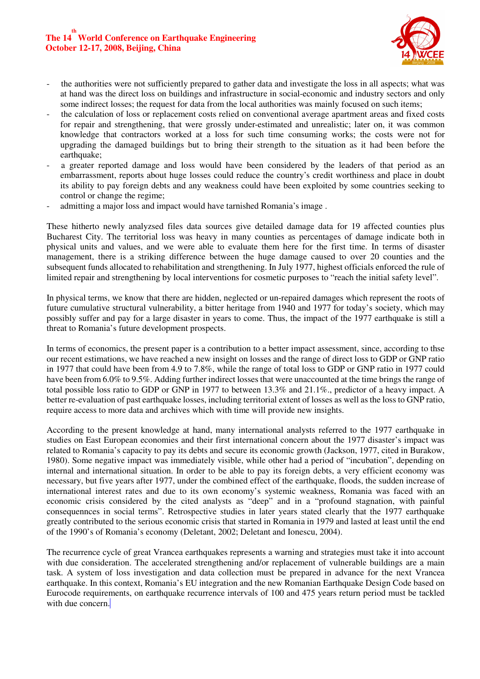## **The 14 th World Conference on Earthquake Engineering October 12-17, 2008, Beijing, China**



- the authorities were not sufficiently prepared to gather data and investigate the loss in all aspects; what was at hand was the direct loss on buildings and infrastructure in social-economic and industry sectors and only some indirect losses; the request for data from the local authorities was mainly focused on such items;
- the calculation of loss or replacement costs relied on conventional average apartment areas and fixed costs for repair and strengthening, that were grossly under-estimated and unrealistic; later on, it was common knowledge that contractors worked at a loss for such time consuming works; the costs were not for upgrading the damaged buildings but to bring their strength to the situation as it had been before the earthquake;
- a greater reported damage and loss would have been considered by the leaders of that period as an embarrassment, reports about huge losses could reduce the country's credit worthiness and place in doubt its ability to pay foreign debts and any weakness could have been exploited by some countries seeking to control or change the regime;
- admitting a major loss and impact would have tarnished Romania's image.

These hitherto newly analyzsed files data sources give detailed damage data for 19 affected counties plus Bucharest City. The territorial loss was heavy in many counties as percentages of damage indicate both in physical units and values, and we were able to evaluate them here for the first time. In terms of disaster management, there is a striking difference between the huge damage caused to over 20 counties and the subsequent funds allocated to rehabilitation and strengthening. In July 1977, highest officials enforced the rule of limited repair and strengthening by local interventions for cosmetic purposes to "reach the initial safety level".

In physical terms, we know that there are hidden, neglected or un-repaired damages which represent the roots of future cumulative structural vulnerability, a bitter heritage from 1940 and 1977 for today's society, which may possibly suffer and pay for a large disaster in years to come. Thus, the impact of the 1977 earthquake is still a threat to Romania's future development prospects.

In terms of economics, the present paper is a contribution to a better impact assessment, since, according to thse our recent estimations, we have reached a new insight on losses and the range of direct loss to GDP or GNP ratio in 1977 that could have been from 4.9 to 7.8%, while the range of total loss to GDP or GNP ratio in 1977 could have been from 6.0% to 9.5%. Adding further indirect losses that were unaccounted at the time brings the range of total possible loss ratio to GDP or GNP in 1977 to between 13.3% and 21.1%., predictor of a heavy impact. A better re-evaluation of past earthquake losses, including territorial extent of losses as well as the loss to GNP ratio, require access to more data and archives which with time will provide new insights.

According to the present knowledge at hand, many international analysts referred to the 1977 earthquake in studies on East European economies and their first international concern about the 1977 disaster's impact was related to Romania's capacity to pay its debts and secure its economic growth (Jackson, 1977, cited in Burakow, 1980). Some negative impact was immediately visible, while other had a period of "incubation", depending on internal and international situation. In order to be able to pay its foreign debts, a very efficient economy was necessary, but five years after 1977, under the combined effect of the earthquake, floods, the sudden increase of international interest rates and due to its own economy's systemic weakness, Romania was faced with an economic crisis considered by the cited analysts as "deep" and in a "profound stagnation, with painful consequennces in social terms". Retrospective studies in later years stated clearly that the 1977 earthquake greatly contributed to the serious economic crisis that started in Romania in 1979 and lasted at least until the end of the 1990's of Romania's economy (Deletant, 2002; Deletant and Ionescu, 2004).

The recurrence cycle of great Vrancea earthquakes represents a warning and strategies must take it into account with due consideration. The accelerated strengthening and/or replacement of vulnerable buildings are a main task. A system of loss investigation and data collection must be prepared in advance for the next Vrancea earthquake. In this context, Romania's EU integration and the new Romanian Earthquake Design Code based on Eurocode requirements, on earthquake recurrence intervals of 100 and 475 years return period must be tackled with due concern.